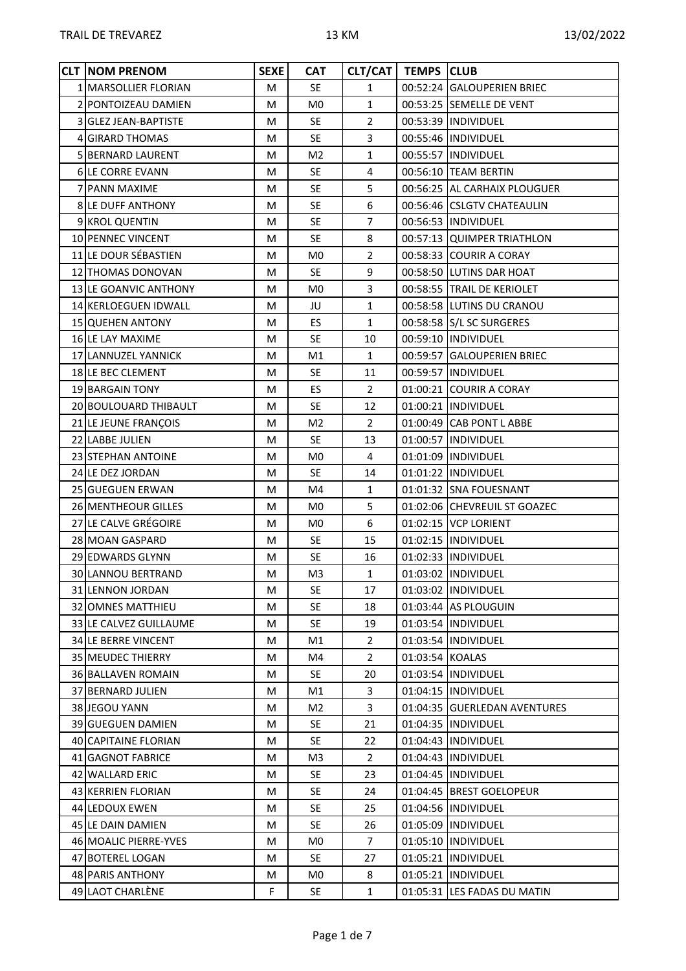|   | <b>CLT NOM PRENOM</b>        | <b>SEXE</b> | <b>CAT</b>     |                | CLT/CAT   TEMPS   CLUB |                              |
|---|------------------------------|-------------|----------------|----------------|------------------------|------------------------------|
|   | 1 MARSOLLIER FLORIAN         | M           | <b>SE</b>      | $\mathbf{1}$   |                        | 00:52:24 GALOUPERIEN BRIEC   |
|   | 2 PONTOIZEAU DAMIEN          | M           | M0             | $\mathbf{1}$   |                        | 00:53:25 SEMELLE DE VENT     |
|   | 3 GLEZ JEAN-BAPTISTE         | M           | <b>SE</b>      | $\overline{2}$ |                        | 00:53:39  INDIVIDUEL         |
|   | 4 GIRARD THOMAS              | M           | SE.            | 3              |                        | 00:55:46  INDIVIDUEL         |
|   | 5 BERNARD LAURENT            | M           | M <sub>2</sub> | $\mathbf{1}$   |                        | 00:55:57  INDIVIDUEL         |
|   | <b>6LE CORRE EVANN</b>       | м           | <b>SE</b>      | $\overline{4}$ |                        | 00:56:10   TEAM BERTIN       |
| 7 | <b>PANN MAXIME</b>           | M           | <b>SE</b>      | 5              |                        | 00:56:25 AL CARHAIX PLOUGUER |
|   | <b>8 LE DUFF ANTHONY</b>     | M           | <b>SE</b>      | 6              |                        | 00:56:46 CSLGTV CHATEAULIN   |
|   | 9 KROL QUENTIN               | Μ           | <b>SE</b>      | $\overline{7}$ |                        | 00:56:53  INDIVIDUEL         |
|   | 10 PENNEC VINCENT            | М           | <b>SE</b>      | 8              |                        | 00:57:13 QUIMPER TRIATHLON   |
|   | 11 LE DOUR SÉBASTIEN         | М           | M <sub>0</sub> | $\overline{2}$ |                        | 00:58:33 COURIR A CORAY      |
|   | 12 THOMAS DONOVAN            | M           | <b>SE</b>      | 9              |                        | 00:58:50 LUTINS DAR HOAT     |
|   | <b>13 LE GOANVIC ANTHONY</b> | M           | M <sub>0</sub> | 3              |                        | 00:58:55 TRAIL DE KERIOLET   |
|   | 14 KERLOEGUEN IDWALL         | Μ           | JU             | $\mathbf{1}$   |                        | 00:58:58 LUTINS DU CRANOU    |
|   | <b>15 QUEHEN ANTONY</b>      | M           | ES             | $\mathbf{1}$   |                        | 00:58:58 S/L SC SURGERES     |
|   | 16 LE LAY MAXIME             | M           | <b>SE</b>      | 10             |                        | 00:59:10 INDIVIDUEL          |
|   | 17 LANNUZEL YANNICK          | M           | M1             | $\mathbf{1}$   |                        | 00:59:57 GALOUPERIEN BRIEC   |
|   | 18 LE BEC CLEMENT            | M           | <b>SE</b>      | 11             |                        | 00:59:57  INDIVIDUEL         |
|   | 19 BARGAIN TONY              | M           | ES             | $\overline{2}$ |                        | 01:00:21 COURIR A CORAY      |
|   | 20 BOULOUARD THIBAULT        | м           | <b>SE</b>      | 12             |                        | 01:00:21  INDIVIDUEL         |
|   | 21 LE JEUNE FRANÇOIS         | M           | M2             | $\overline{2}$ |                        | 01:00:49 CAB PONT L ABBE     |
|   | 22 LABBE JULIEN              | м           | <b>SE</b>      | 13             |                        | 01:00:57  INDIVIDUEL         |
|   | <b>23 STEPHAN ANTOINE</b>    | М           | M <sub>0</sub> | 4              |                        | 01:01:09  INDIVIDUEL         |
|   | 24 LE DEZ JORDAN             | M           | <b>SE</b>      | 14             |                        | 01:01:22  INDIVIDUEL         |
|   | 25 GUEGUEN ERWAN             | м           | M4             | $\mathbf{1}$   |                        | 01:01:32 SNA FOUESNANT       |
|   | 26 MENTHEOUR GILLES          | м           | M <sub>0</sub> | 5              |                        | 01:02:06 CHEVREUIL ST GOAZEC |
|   | 27 LE CALVE GRÉGOIRE         | M           | M <sub>0</sub> | 6              |                        | 01:02:15 VCP LORIENT         |
|   | 28 MOAN GASPARD              | M           | <b>SE</b>      | 15             |                        | 01:02:15  INDIVIDUEL         |
|   | 29 EDWARDS GLYNN             | M           | <b>SE</b>      | 16             |                        | 01:02:33 INDIVIDUEL          |
|   | 30 LANNOU BERTRAND           | м           | M <sub>3</sub> | $\mathbf{1}$   |                        | 01:03:02 INDIVIDUEL          |
|   | 31 LENNON JORDAN             | M           | <b>SE</b>      | 17             |                        | 01:03:02  INDIVIDUEL         |
|   | 32 OMNES MATTHIEU            | M           | <b>SE</b>      | 18             |                        | 01:03:44 AS PLOUGUIN         |
|   | 33 LE CALVEZ GUILLAUME       | М           | <b>SE</b>      | 19             |                        | 01:03:54  INDIVIDUEL         |
|   | <b>34 LE BERRE VINCENT</b>   | M           | M1             | $\overline{2}$ |                        | 01:03:54  INDIVIDUEL         |
|   | <b>35 MEUDEC THIERRY</b>     | М           | M4             | $\overline{2}$ | 01:03:54 KOALAS        |                              |
|   | 36 BALLAVEN ROMAIN           | М           | <b>SE</b>      | 20             |                        | 01:03:54  INDIVIDUEL         |
|   | 37 BERNARD JULIEN            | M           | M1             | 3              |                        | 01:04:15  INDIVIDUEL         |
|   | 38 JEGOU YANN                | M           | M <sub>2</sub> | 3              |                        | 01:04:35 GUERLEDAN AVENTURES |
|   | 39 GUEGUEN DAMIEN            | M           | <b>SE</b>      | 21             |                        | 01:04:35  INDIVIDUEL         |
|   | 40 CAPITAINE FLORIAN         | м           | <b>SE</b>      | 22             |                        | 01:04:43 INDIVIDUEL          |
|   | 41 GAGNOT FABRICE            | M           | M3             | $\overline{2}$ |                        | 01:04:43  INDIVIDUEL         |
|   | 42 WALLARD ERIC              | М           | <b>SE</b>      | 23             |                        | 01:04:45 INDIVIDUEL          |
|   | 43 KERRIEN FLORIAN           | M           | <b>SE</b>      | 24             |                        | 01:04:45 BREST GOELOPEUR     |
|   | 44 LEDOUX EWEN               | M           | <b>SE</b>      | 25             |                        | 01:04:56 INDIVIDUEL          |
|   | 45 LE DAIN DAMIEN            | M           | <b>SE</b>      | 26             |                        | 01:05:09  INDIVIDUEL         |
|   | 46 MOALIC PIERRE-YVES        | M           | M <sub>0</sub> | 7              |                        | 01:05:10  INDIVIDUEL         |
|   | 47 BOTEREL LOGAN             | М           | <b>SE</b>      | 27             |                        | 01:05:21 INDIVIDUEL          |
|   | 48 PARIS ANTHONY             | M           | M <sub>0</sub> | 8              |                        | 01:05:21  INDIVIDUEL         |
|   | 49 LAOT CHARLENE             | F           | <b>SE</b>      | $1\,$          |                        | 01:05:31 LES FADAS DU MATIN  |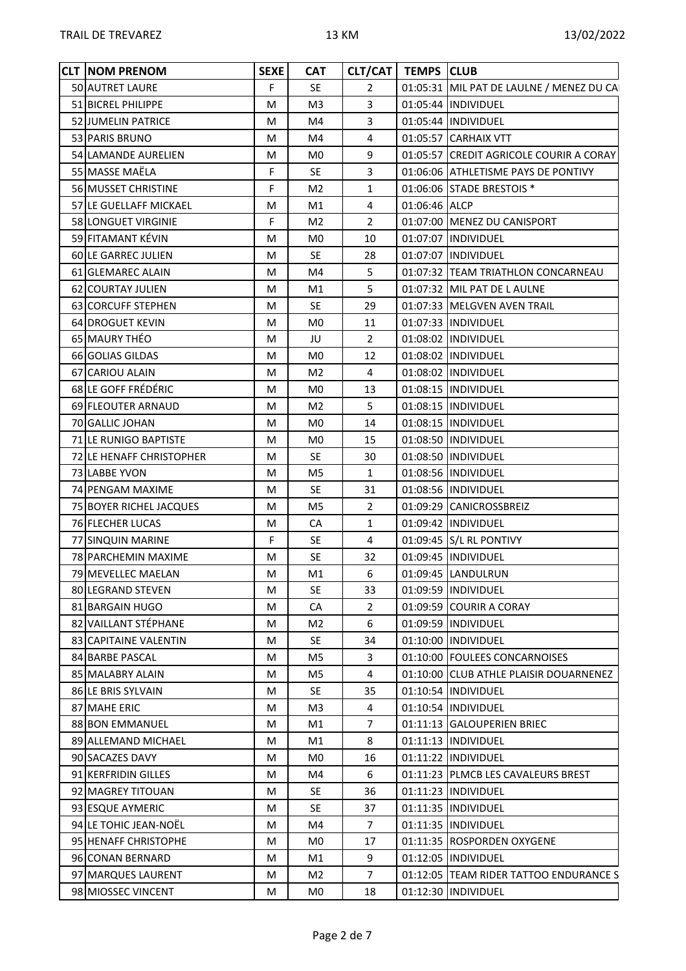| <b>CLT NOM PRENOM</b>      | <b>SEXE</b> | <b>CAT</b>     |                | CLT/CAT   TEMPS   CLUB |                                          |
|----------------------------|-------------|----------------|----------------|------------------------|------------------------------------------|
| <b>50 AUTRET LAURE</b>     | F           | <b>SE</b>      | $\mathfrak{D}$ |                        | 01:05:31 MIL PAT DE LAULNE / MENEZ DU CA |
| 51 BICREL PHILIPPE         | М           | M <sub>3</sub> | 3              |                        | 01:05:44  INDIVIDUEL                     |
| 52 JUMELIN PATRICE         | М           | M4             | 3              |                        | 01:05:44  INDIVIDUEL                     |
| 53 PARIS BRUNO             | М           | M4             | 4              |                        | 01:05:57 CARHAIX VTT                     |
| 54 LAMANDE AURELIEN        | М           | M <sub>0</sub> | 9              |                        | 01:05:57 CREDIT AGRICOLE COURIR A CORAY  |
| 55 MASSE MAËLA             | F           | <b>SE</b>      | 3              |                        | 01:06:06 ATHLETISME PAYS DE PONTIVY      |
| 56 MUSSET CHRISTINE        | F           | M <sub>2</sub> | 1              |                        | 01:06:06 STADE BRESTOIS *                |
| 57 LE GUELLAFF MICKAEL     | м           | M1             | 4              | 01:06:46 ALCP          |                                          |
| 58 LONGUET VIRGINIE        | F           | M <sub>2</sub> | $\mathbf{2}$   |                        | 01:07:00 MENEZ DU CANISPORT              |
| 59 FITAMANT KÉVIN          | М           | M <sub>0</sub> | 10             |                        | 01:07:07  INDIVIDUEL                     |
| <b>60 LE GARREC JULIEN</b> | м           | SE.            | 28             |                        | 01:07:07 INDIVIDUEL                      |
| 61 GLEMAREC ALAIN          | М           | M4             | 5              |                        | 01:07:32 TEAM TRIATHLON CONCARNEAU       |
| 62 COURTAY JULIEN          | м           | M1             | 5              |                        | 01:07:32 MIL PAT DE L AULNE              |
| <b>63 CORCUFF STEPHEN</b>  | М           | <b>SE</b>      | 29             |                        | 01:07:33 MELGVEN AVEN TRAIL              |
| 64 DROGUET KEVIN           | М           | M <sub>0</sub> | 11             |                        | 01:07:33  INDIVIDUEL                     |
| 65 MAURY THÉO              | М           | JU             | $\overline{2}$ |                        | 01:08:02 INDIVIDUEL                      |
| 66 GOLIAS GILDAS           | М           | M <sub>0</sub> | 12             |                        | 01:08:02  INDIVIDUEL                     |
| 67 CARIOU ALAIN            | М           | M <sub>2</sub> | 4              |                        | 01:08:02 INDIVIDUEL                      |
| 68 LE GOFF FRÉDÉRIC        | М           | M <sub>0</sub> | 13             |                        | 01:08:15 INDIVIDUEL                      |
| 69 FLEOUTER ARNAUD         | м           | M2             | 5              |                        | 01:08:15  INDIVIDUEL                     |
| 70 GALLIC JOHAN            | М           | M0             | 14             |                        | 01:08:15 INDIVIDUEL                      |
| 71 LE RUNIGO BAPTISTE      | М           | M <sub>0</sub> | 15             |                        | 01:08:50  INDIVIDUEL                     |
| 72 LE HENAFF CHRISTOPHER   | м           | <b>SE</b>      | 30             |                        | 01:08:50  INDIVIDUEL                     |
| 73 LABBE YVON              | М           | M <sub>5</sub> | $\mathbf{1}$   |                        | 01:08:56  INDIVIDUEL                     |
| 74 PENGAM MAXIME           | М           | <b>SE</b>      | 31             |                        | 01:08:56  INDIVIDUEL                     |
| 75 BOYER RICHEL JACQUES    | М           | M5             | $\overline{2}$ |                        | 01:09:29 CANICROSSBREIZ                  |
| 76 FLECHER LUCAS           | М           | CA             | $\mathbf{1}$   |                        | 01:09:42  INDIVIDUEL                     |
| 77 SINQUIN MARINE          | F           | <b>SE</b>      | 4              |                        | 01:09:45 S/L RL PONTIVY                  |
| 78 PARCHEMIN MAXIME        | М           | SE             | 32             |                        | 01:09:45  INDIVIDUEL                     |
| 79 MEVELLEC MAELAN         | м           | M1             | 6              |                        | 01:09:45 LANDULRUN                       |
| 80 LEGRAND STEVEN          | М           | <b>SE</b>      | 33             |                        | 01:09:59  INDIVIDUEL                     |
| 81 BARGAIN HUGO            | М           | CA             | $\overline{2}$ |                        | 01:09:59 COURIR A CORAY                  |
| 82 VAILLANT STÉPHANE       | М           | M2             | 6              |                        | 01:09:59  INDIVIDUEL                     |
| 83 CAPITAINE VALENTIN      | М           | <b>SE</b>      | 34             |                        | 01:10:00  INDIVIDUEL                     |
| 84 BARBE PASCAL            | М           | M5             | 3              |                        | 01:10:00 FOULEES CONCARNOISES            |
| 85 MALABRY ALAIN           | М           | M5             | $\overline{4}$ |                        | 01:10:00 CLUB ATHLE PLAISIR DOUARNENEZ   |
| 86 LE BRIS SYLVAIN         | М           | SE             | 35             |                        | 01:10:54 INDIVIDUEL                      |
| 87 MAHE ERIC               | м           | M <sub>3</sub> | 4              |                        | 01:10:54 INDIVIDUEL                      |
| 88 BON EMMANUEL            | М           | M1             | $\overline{7}$ |                        | 01:11:13 GALOUPERIEN BRIEC               |
| 89 ALLEMAND MICHAEL        | М           | M1             | 8              |                        | 01:11:13  INDIVIDUEL                     |
| 90 SACAZES DAVY            | М           | M0             | 16             |                        | 01:11:22  INDIVIDUEL                     |
| 91 KERFRIDIN GILLES        | М           | M4             | 6              |                        | 01:11:23 PLMCB LES CAVALEURS BREST       |
| 92 MAGREY TITOUAN          | м           | SE             | 36             |                        | 01:11:23  INDIVIDUEL                     |
| 93 ESQUE AYMERIC           | М           | <b>SE</b>      | 37             |                        | 01:11:35 INDIVIDUEL                      |
| 94 LE TOHIC JEAN-NOËL      | М           | M4             | 7              |                        | 01:11:35  INDIVIDUEL                     |
| 95 HENAFF CHRISTOPHE       | М           | M <sub>0</sub> | 17             |                        | 01:11:35 ROSPORDEN OXYGENE               |
| 96 CONAN BERNARD           | М           | M1             | 9              |                        | 01:12:05  INDIVIDUEL                     |
| 97 MARQUES LAURENT         | м           | M <sub>2</sub> | $\overline{7}$ |                        | 01:12:05 TEAM RIDER TATTOO ENDURANCE S   |
| 98 MIOSSEC VINCENT         | м           | M <sub>0</sub> | 18             |                        | 01:12:30 INDIVIDUEL                      |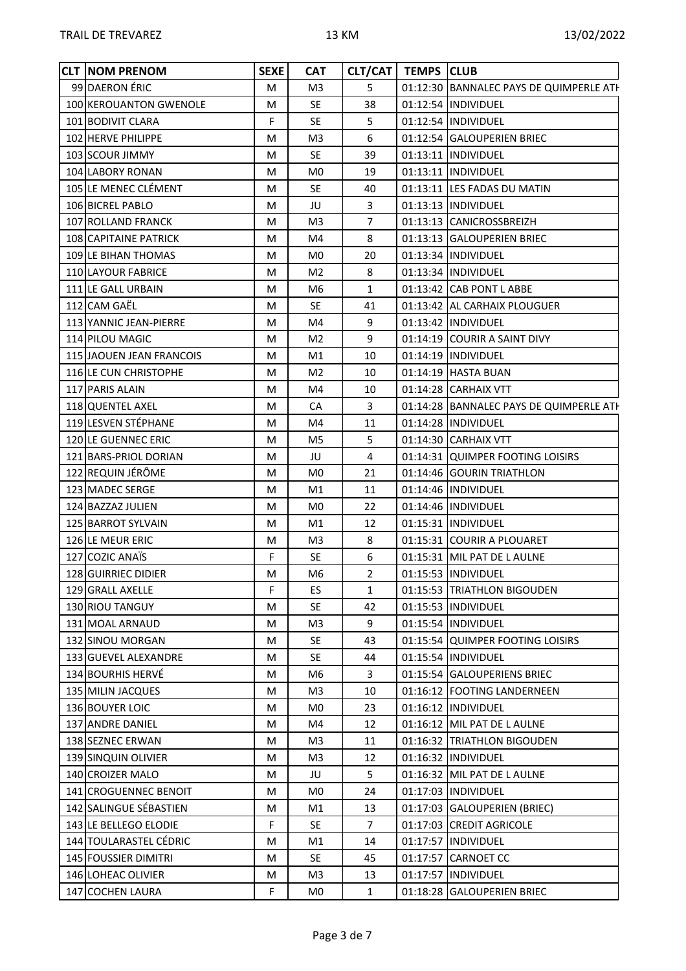| <b>CLT NOM PRENOM</b>         | <b>SEXE</b> | <b>CAT</b>     |              | CLT/CAT   TEMPS   CLUB |                                         |
|-------------------------------|-------------|----------------|--------------|------------------------|-----------------------------------------|
| 99 DAERON ÉRIC                | м           | M <sub>3</sub> | 5            |                        | 01:12:30 BANNALEC PAYS DE QUIMPERLE ATI |
| <b>100 KEROUANTON GWENOLE</b> | м           | <b>SE</b>      | 38           |                        | 01:12:54 IINDIVIDUEL                    |
| 101 BODIVIT CLARA             | F           | <b>SE</b>      | 5            |                        | 01:12:54  INDIVIDUEL                    |
| 102 HERVE PHILIPPE            | M           | M <sub>3</sub> | 6            |                        | 01:12:54 GALOUPERIEN BRIEC              |
| 103 SCOUR JIMMY               | M           | <b>SE</b>      | 39           |                        | 01:13:11  INDIVIDUEL                    |
| 104 LABORY RONAN              | м           | M <sub>0</sub> | 19           |                        | 01:13:11  INDIVIDUEL                    |
| 105 LE MENEC CLÉMENT          | М           | <b>SE</b>      | 40           |                        | 01:13:11 LES FADAS DU MATIN             |
| 106 BICREL PABLO              | м           | JU             | 3            |                        | 01:13:13 IINDIVIDUEL                    |
| 107 ROLLAND FRANCK            | М           | M <sub>3</sub> | 7            |                        | 01:13:13 CANICROSSBREIZH                |
| 108 CAPITAINE PATRICK         | M           | M4             | 8            |                        | 01:13:13 GALOUPERIEN BRIEC              |
| 109 LE BIHAN THOMAS           | М           | M <sub>0</sub> | 20           |                        | 01:13:34  INDIVIDUEL                    |
| 110 LAYOUR FABRICE            | M           | M <sub>2</sub> | 8            |                        | 01:13:34  INDIVIDUEL                    |
| 111 LE GALL URBAIN            | м           | M6             | $\mathbf{1}$ |                        | 01:13:42 CAB PONT LABBE                 |
| 112 CAM GAËL                  | М           | <b>SE</b>      | 41           |                        | 01:13:42 AL CARHAIX PLOUGUER            |
| 113 YANNIC JEAN-PIERRE        | M           | M4             | 9            |                        | 01:13:42  INDIVIDUEL                    |
| 114 PILOU MAGIC               | м           | M <sub>2</sub> | 9            |                        | 01:14:19 COURIR A SAINT DIVY            |
| 115 JAOUEN JEAN FRANCOIS      | M           | M1             | 10           |                        | 01:14:19  INDIVIDUEL                    |
| 116 LE CUN CHRISTOPHE         | M           | M <sub>2</sub> | 10           |                        | 01:14:19 HASTA BUAN                     |
| 117 PARIS ALAIN               | M           | M4             | 10           |                        | 01:14:28 CARHAIX VTT                    |
| 118 QUENTEL AXEL              | м           | CA             | 3            |                        | 01:14:28 BANNALEC PAYS DE QUIMPERLE ATH |
| 119 LESVEN STÉPHANE           | м           | M4             | 11           |                        | 01:14:28  INDIVIDUEL                    |
| 120 LE GUENNEC ERIC           | м           | M5             | 5            |                        | 01:14:30 CARHAIX VTT                    |
| 121 BARS-PRIOL DORIAN         | М           | JU             | 4            |                        | 01:14:31 QUIMPER FOOTING LOISIRS        |
| 122 REQUIN JÉRÔME             | M           | M <sub>0</sub> | 21           |                        | 01:14:46 GOURIN TRIATHLON               |
| 123 MADEC SERGE               | м           | M1             | 11           |                        | 01:14:46 INDIVIDUEL                     |
| 124 BAZZAZ JULIEN             | M           | M <sub>0</sub> | 22           |                        | 01:14:46  INDIVIDUEL                    |
| 125 BARROT SYLVAIN            | м           | M1             | 12           |                        | 01:15:31  INDIVIDUEL                    |
| <b>126 LE MEUR ERIC</b>       | М           | M <sub>3</sub> | 8            |                        | 01:15:31 COURIR A PLOUARET              |
| 127 COZIC ANAÏS               | F           | <b>SE</b>      | 6            |                        | 01:15:31 MIL PAT DE L AULNE             |
| 128 GUIRRIEC DIDIER           | м           | M <sub>6</sub> | 2            |                        | 01:15:53  INDIVIDUEL                    |
| 129 GRALL AXELLE              | F           | ES.            | $\mathbf{1}$ |                        | 01:15:53 TRIATHLON BIGOUDEN             |
| 130 RIOU TANGUY               | M           | <b>SE</b>      | 42           |                        | 01:15:53  INDIVIDUEL                    |
| 131 MOAL ARNAUD               | М           | M3             | 9            |                        | 01:15:54  INDIVIDUEL                    |
| 132 SINOU MORGAN              | M           | <b>SE</b>      | 43           |                        | 01:15:54 QUIMPER FOOTING LOISIRS        |
| 133 GUEVEL ALEXANDRE          | М           | <b>SE</b>      | 44           |                        | 01:15:54 INDIVIDUEL                     |
| 134 BOURHIS HERVÉ             | Μ           | M <sub>6</sub> | 3            |                        | 01:15:54 GALOUPERIENS BRIEC             |
| 135 MILIN JACQUES             | M           | M <sub>3</sub> | 10           |                        | 01:16:12 FOOTING LANDERNEEN             |
| 136 BOUYER LOIC               | M           | M <sub>0</sub> | 23           |                        | 01:16:12  INDIVIDUEL                    |
| <b>137 ANDRE DANIEL</b>       | M           | M4             | 12           |                        | 01:16:12 MIL PAT DE L AULNE             |
| 138 SEZNEC ERWAN              | M           | M3             | 11           |                        | 01:16:32 TRIATHLON BIGOUDEN             |
| 139 SINQUIN OLIVIER           | M           | M <sub>3</sub> | 12           |                        | 01:16:32  INDIVIDUEL                    |
| 140 CROIZER MALO              | M           | JU             | 5            |                        | 01:16:32 MIL PAT DE L AULNE             |
| 141 CROGUENNEC BENOIT         | M           | M <sub>0</sub> | 24           |                        | 01:17:03  INDIVIDUEL                    |
| 142 SALINGUE SÉBASTIEN        | M           | M1             | 13           |                        | 01:17:03 GALOUPERIEN (BRIEC)            |
| 143 LE BELLEGO ELODIE         | F           | <b>SE</b>      | 7            |                        | 01:17:03 CREDIT AGRICOLE                |
| 144 TOULARASTEL CÉDRIC        | M           | M1             | 14           |                        | 01:17:57  INDIVIDUEL                    |
| 145 FOUSSIER DIMITRI          | М           | <b>SE</b>      | 45           |                        | 01:17:57 CARNOET CC                     |
| 146 LOHEAC OLIVIER            | М           | M <sub>3</sub> | 13           |                        | 01:17:57  INDIVIDUEL                    |
| 147 COCHEN LAURA              | F           | M0             | $\mathbf{1}$ |                        | 01:18:28 GALOUPERIEN BRIEC              |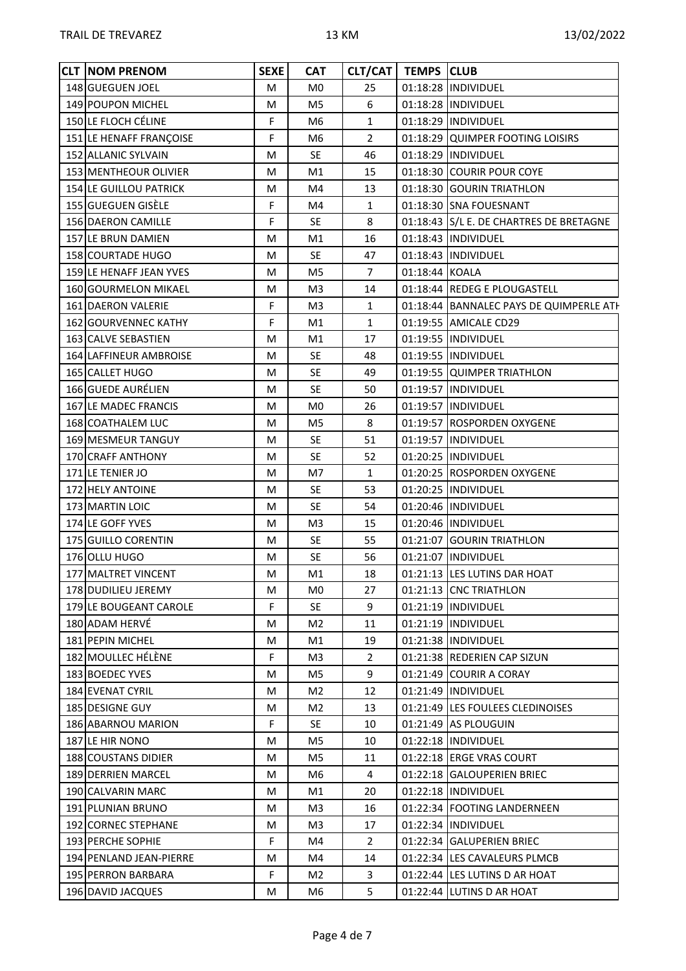| <b>CLT INOM PRENOM</b>      | <b>SEXE</b> | <b>CAT</b>     |                | CLT/CAT   TEMPS   CLUB |                                         |
|-----------------------------|-------------|----------------|----------------|------------------------|-----------------------------------------|
| 148 GUEGUEN JOEL            | M           | M <sub>0</sub> | 25             |                        | 01:18:28 IINDIVIDUEL                    |
| 149 POUPON MICHEL           | M           | M <sub>5</sub> | 6              |                        | 01:18:28  INDIVIDUEL                    |
| 150 LE FLOCH CÉLINE         | F           | M <sub>6</sub> | $\mathbf{1}$   |                        | 01:18:29  INDIVIDUEL                    |
| 151 LE HENAFF FRANÇOISE     | F           | M6             | 2              |                        | 01:18:29 QUIMPER FOOTING LOISIRS        |
| 152 ALLANIC SYLVAIN         | M           | <b>SE</b>      | 46             |                        | 01:18:29  INDIVIDUEL                    |
| 153 MENTHEOUR OLIVIER       | м           | M1             | 15             |                        | 01:18:30 COURIR POUR COYE               |
| 154 LE GUILLOU PATRICK      | M           | M4             | 13             |                        | 01:18:30 GOURIN TRIATHLON               |
| 155 GUEGUEN GISÈLE          | F           | M4             | $\mathbf{1}$   |                        | 01:18:30 SNA FOUESNANT                  |
| 156 DAERON CAMILLE          | F           | SE             | 8              |                        | 01:18:43 S/L E. DE CHARTRES DE BRETAGNE |
| 157 LE BRUN DAMIEN          | M           | M1             | 16             |                        | 01:18:43  INDIVIDUEL                    |
| 158 COURTADE HUGO           | M           | <b>SE</b>      | 47             |                        | 01:18:43 INDIVIDUEL                     |
| 159 LE HENAFF JEAN YVES     | M           | M <sub>5</sub> | $\overline{7}$ | 01:18:44 KOALA         |                                         |
| <b>160 GOURMELON MIKAEL</b> | M           | M <sub>3</sub> | 14             |                        | 01:18:44 REDEG E PLOUGASTELL            |
| <b>161 DAERON VALERIE</b>   | F           | M <sub>3</sub> | $\mathbf{1}$   |                        | 01:18:44 BANNALEC PAYS DE QUIMPERLE ATH |
| <b>162 GOURVENNEC KATHY</b> | F           | M1             | $\mathbf{1}$   |                        | 01:19:55 AMICALE CD29                   |
| 163 CALVE SEBASTIEN         | м           | M1             | 17             |                        | 01:19:55  INDIVIDUEL                    |
| 164 LAFFINEUR AMBROISE      | M           | <b>SE</b>      | 48             |                        | 01:19:55  INDIVIDUEL                    |
| 165 CALLET HUGO             | M           | <b>SE</b>      | 49             |                        | 01:19:55 QUIMPER TRIATHLON              |
| 166 GUEDE AURÉLIEN          | M           | <b>SE</b>      | 50             |                        | 01:19:57  INDIVIDUEL                    |
| 167 LE MADEC FRANCIS        | M           | M <sub>0</sub> | 26             |                        | 01:19:57 INDIVIDUEL                     |
| 168 COATHALEM LUC           | M           | M5             | 8              |                        | 01:19:57 ROSPORDEN OXYGENE              |
| 169 MESMEUR TANGUY          | M           | <b>SE</b>      | 51             |                        | 01:19:57  INDIVIDUEL                    |
| 170 CRAFF ANTHONY           | М           | <b>SE</b>      | 52             |                        | 01:20:25  INDIVIDUEL                    |
| 171 LE TENIER JO            | M           | M7             | $\mathbf{1}$   |                        | 01:20:25 ROSPORDEN OXYGENE              |
| 172 HELY ANTOINE            | м           | SE             | 53             |                        | 01:20:25  INDIVIDUEL                    |
| 173 MARTIN LOIC             | M           | <b>SE</b>      | 54             |                        | 01:20:46 INDIVIDUEL                     |
| 174 LE GOFF YVES            | M           | M <sub>3</sub> | 15             |                        | 01:20:46  INDIVIDUEL                    |
| 175 GUILLO CORENTIN         | М           | <b>SE</b>      | 55             |                        | 01:21:07 GOURIN TRIATHLON               |
| 176 OLLU HUGO               | M           | <b>SE</b>      | 56             |                        | 01:21:07  INDIVIDUEL                    |
| 177 MALTRET VINCENT         | м           | M1             | 18             |                        | 01:21:13 LES LUTINS DAR HOAT            |
| 178 DUDILIEU JEREMY         | M           | M <sub>0</sub> | 27             |                        | 01:21:13 CNC TRIATHLON                  |
| 179 LE BOUGEANT CAROLE      | F           | <b>SE</b>      | 9              |                        | 01:21:19  INDIVIDUEL                    |
| 180 ADAM HERVÉ              | М           | M <sub>2</sub> | 11             |                        | 01:21:19  INDIVIDUEL                    |
| 181 PEPIN MICHEL            | M           | M1             | 19             |                        | 01:21:38  INDIVIDUEL                    |
| 182 MOULLEC HÉLÈNE          | F           | M <sub>3</sub> | 2              |                        | 01:21:38 REDERIEN CAP SIZUN             |
| 183 BOEDEC YVES             | М           | M5             | 9              |                        | 01:21:49 COURIR A CORAY                 |
| 184 EVENAT CYRIL            | М           | M <sub>2</sub> | 12             |                        | 01:21:49  INDIVIDUEL                    |
| 185 DESIGNE GUY             | M           | M <sub>2</sub> | 13             |                        | 01:21:49 LES FOULEES CLEDINOISES        |
| 186 ABARNOU MARION          | F           | <b>SE</b>      | 10             |                        | 01:21:49 AS PLOUGUIN                    |
| 187 LE HIR NONO             | Μ           | M <sub>5</sub> | 10             |                        | 01:22:18  INDIVIDUEL                    |
| 188 COUSTANS DIDIER         | M           | M <sub>5</sub> | 11             |                        | 01:22:18 ERGE VRAS COURT                |
| 189 DERRIEN MARCEL          | М           | M6             | 4              |                        | 01:22:18 GALOUPERIEN BRIEC              |
| 190 CALVARIN MARC           | M           | M1             | 20             |                        | 01:22:18  INDIVIDUEL                    |
| 191 PLUNIAN BRUNO           | M           | M <sub>3</sub> | 16             |                        | 01:22:34 FOOTING LANDERNEEN             |
| 192 CORNEC STEPHANE         | M           | M <sub>3</sub> | 17             |                        | 01:22:34 INDIVIDUEL                     |
| 193 PERCHE SOPHIE           | F           | M4             | $\overline{2}$ |                        | 01:22:34 GALUPERIEN BRIEC               |
| 194 PENLAND JEAN-PIERRE     | М           | M4             | 14             |                        | 01:22:34 LES CAVALEURS PLMCB            |
| 195 PERRON BARBARA          | F           | M <sub>2</sub> | 3              |                        | 01:22:44 LES LUTINS D AR HOAT           |
| 196 DAVID JACQUES           | м           | M6             | 5              |                        | 01:22:44 LUTINS D AR HOAT               |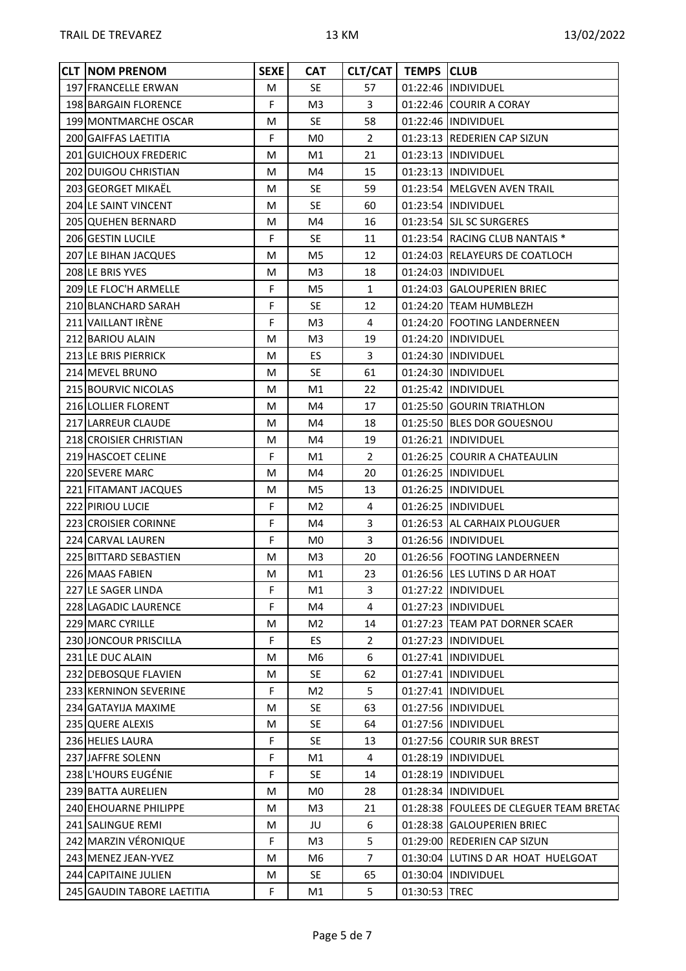| M<br><b>SE</b><br>57<br>01:22:46 INDIVIDUEL<br>197 FRANCELLE ERWAN<br>F<br>3<br>01:22:46 COURIR A CORAY<br>198 BARGAIN FLORENCE<br>M <sub>3</sub><br><b>SE</b><br>58<br>01:22:46  INDIVIDUEL<br>199 MONTMARCHE OSCAR<br>М<br>F<br>200 GAIFFAS LAETITIA<br>M0<br>$\mathbf{2}$<br>01:23:13 REDERIEN CAP SIZUN<br>201 GUICHOUX FREDERIC<br>01:23:13  INDIVIDUEL<br>M<br>M1<br>21<br>01:23:13  INDIVIDUEL<br>202 DUIGOU CHRISTIAN<br>М<br>M4<br>15<br>203 GEORGET MIKAËL<br>01:23:54 MELGVEN AVEN TRAIL<br>M<br>SE<br>59<br>204 LE SAINT VINCENT<br><b>SE</b><br>01:23:54  INDIVIDUEL<br>М<br>60<br>205 QUEHEN BERNARD<br>M4<br>16<br>01:23:54 SJL SC SURGERES<br>М<br>F<br><b>SE</b><br>01:23:54 RACING CLUB NANTAIS *<br>206 GESTIN LUCILE<br>11<br>01:24:03 RELAYEURS DE COATLOCH<br>207 LE BIHAN JACQUES<br>М<br>M5<br>12<br>208 LE BRIS YVES<br>01:24:03  INDIVIDUEL<br>18<br>M<br>M <sub>3</sub><br>F<br>209 LE FLOC'H ARMELLE<br>$\mathbf{1}$<br>01:24:03 GALOUPERIEN BRIEC<br>M5<br>210 BLANCHARD SARAH<br>F<br><b>SE</b><br>12<br>01:24:20 TEAM HUMBLEZH<br>211 VAILLANT IRÈNE<br>F<br>M3<br>4<br>01:24:20 FOOTING LANDERNEEN<br>212 BARIOU ALAIN<br>M <sub>3</sub><br>19<br>01:24:20 INDIVIDUEL<br>М<br>213 LE BRIS PIERRICK<br><b>ES</b><br>3<br>01:24:30  INDIVIDUEL<br>M<br><b>SE</b><br>01:24:30  INDIVIDUEL<br>214 MEVEL BRUNO<br>M<br>61<br>215 BOURVIC NICOLAS<br>22<br>01:25:42  INDIVIDUEL<br>M<br>M1<br>01:25:50 GOURIN TRIATHLON<br>216 LOLLIER FLORENT<br>M4<br>17<br>М<br>217 LARREUR CLAUDE<br>01:25:50 BLES DOR GOUESNOU<br>M<br>M4<br>18<br>01:26:21  INDIVIDUEL<br>218 CROISIER CHRISTIAN<br>М<br>M4<br>19<br>219 HASCOET CELINE<br>F<br>M1<br>$\overline{2}$<br>01:26:25 COURIR A CHATEAULIN<br>01:26:25  INDIVIDUEL<br>220 SEVERE MARC<br>M<br>M4<br>20<br>01:26:25  INDIVIDUEL<br>221 FITAMANT JACQUES<br>M<br>M5<br>13<br>222 PIRIOU LUCIE<br>F<br>4<br>01:26:25  INDIVIDUEL<br>M <sub>2</sub><br>F<br>3<br>01:26:53 AL CARHAIX PLOUGUER<br>223 CROISIER CORINNE<br>M4<br>F<br>3<br>01:26:56 INDIVIDUEL<br>224 CARVAL LAUREN<br>M <sub>0</sub><br>01:26:56 FOOTING LANDERNEEN<br>225 BITTARD SEBASTIEN<br>М<br>M3<br>20<br>01:26:56 LES LUTINS D AR HOAT<br>226 MAAS FABIEN<br>м<br>M1<br>23<br>227 LE SAGER LINDA<br>F<br>3<br>01:27:22 INDIVIDUEL<br>M1<br>F<br>01:27:23  INDIVIDUEL<br><b>228 LAGADIC LAURENCE</b><br>M4<br>4<br>229 MARC CYRILLE<br>M<br>M <sub>2</sub><br>14<br>01:27:23 TEAM PAT DORNER SCAER<br>F<br>ES.<br>$\overline{2}$<br>230 JONCOUR PRISCILLA<br>01:27:23 IINDIVIDUEL<br>231 LE DUC ALAIN<br>6<br>01:27:41 INDIVIDUEL<br>М<br>M6<br><b>SE</b><br>232 DEBOSQUE FLAVIEN<br>M<br>62<br>01:27:41  INDIVIDUEL<br>F<br>5<br>01:27:41  INDIVIDUEL<br>233 KERNINON SEVERINE<br>M <sub>2</sub><br><b>SE</b><br>01:27:56  INDIVIDUEL<br>234 GATAYIJA MAXIME<br>M<br>63<br><b>SE</b><br>64<br>01:27:56 INDIVIDUEL<br>235 QUERE ALEXIS<br>M<br>236 HELIES LAURA<br>F<br><b>SE</b><br>01:27:56 COURIR SUR BREST<br>13<br>F<br>237 JAFFRE SOLENN<br>M1<br>4<br>01:28:19  INDIVIDUEL<br>238 L'HOURS EUGÉNIE<br>F<br><b>SE</b><br>01:28:19 INDIVIDUEL<br>14<br>239 BATTA AURELIEN<br>28<br>01:28:34 INDIVIDUEL<br>М<br>M0<br>240 EHOUARNE PHILIPPE<br>M<br>M3<br>01:28:38 FOULEES DE CLEGUER TEAM BRETAC<br>21<br>241 SALINGUE REMI<br>01:28:38 GALOUPERIEN BRIEC<br>М<br>JU<br>6<br>F<br>242 MARZIN VÉRONIQUE<br>5<br>M <sub>3</sub><br>01:29:00 REDERIEN CAP SIZUN<br>243 MENEZ JEAN-YVEZ<br>7<br>M6<br>01:30:04 LUTINS D AR HOAT HUELGOAT<br>М<br>244 CAPITAINE JULIEN<br>01:30:04 INDIVIDUEL<br>M<br><b>SE</b><br>65<br>F<br>01:30:53 TREC<br>245 GAUDIN TABORE LAETITIA | <b>CLT INOM PRENOM</b> | SEXE | <b>CAT</b> | CLT/CAT   TEMPS   CLUB |  |  |
|----------------------------------------------------------------------------------------------------------------------------------------------------------------------------------------------------------------------------------------------------------------------------------------------------------------------------------------------------------------------------------------------------------------------------------------------------------------------------------------------------------------------------------------------------------------------------------------------------------------------------------------------------------------------------------------------------------------------------------------------------------------------------------------------------------------------------------------------------------------------------------------------------------------------------------------------------------------------------------------------------------------------------------------------------------------------------------------------------------------------------------------------------------------------------------------------------------------------------------------------------------------------------------------------------------------------------------------------------------------------------------------------------------------------------------------------------------------------------------------------------------------------------------------------------------------------------------------------------------------------------------------------------------------------------------------------------------------------------------------------------------------------------------------------------------------------------------------------------------------------------------------------------------------------------------------------------------------------------------------------------------------------------------------------------------------------------------------------------------------------------------------------------------------------------------------------------------------------------------------------------------------------------------------------------------------------------------------------------------------------------------------------------------------------------------------------------------------------------------------------------------------------------------------------------------------------------------------------------------------------------------------------------------------------------------------------------------------------------------------------------------------------------------------------------------------------------------------------------------------------------------------------------------------------------------------------------------------------------------------------------------------------------------------------------------------------------------------------------------------------------------------------------------------------------------------------------------------------------------------------------------------------------------------------------------------------------------------------------------------------------------------------------------------------------------------------------------------------------------------------------------------------------------------------------------------------------------------------------------------------|------------------------|------|------------|------------------------|--|--|
|                                                                                                                                                                                                                                                                                                                                                                                                                                                                                                                                                                                                                                                                                                                                                                                                                                                                                                                                                                                                                                                                                                                                                                                                                                                                                                                                                                                                                                                                                                                                                                                                                                                                                                                                                                                                                                                                                                                                                                                                                                                                                                                                                                                                                                                                                                                                                                                                                                                                                                                                                                                                                                                                                                                                                                                                                                                                                                                                                                                                                                                                                                                                                                                                                                                                                                                                                                                                                                                                                                                                                                                                                      |                        |      |            |                        |  |  |
|                                                                                                                                                                                                                                                                                                                                                                                                                                                                                                                                                                                                                                                                                                                                                                                                                                                                                                                                                                                                                                                                                                                                                                                                                                                                                                                                                                                                                                                                                                                                                                                                                                                                                                                                                                                                                                                                                                                                                                                                                                                                                                                                                                                                                                                                                                                                                                                                                                                                                                                                                                                                                                                                                                                                                                                                                                                                                                                                                                                                                                                                                                                                                                                                                                                                                                                                                                                                                                                                                                                                                                                                                      |                        |      |            |                        |  |  |
|                                                                                                                                                                                                                                                                                                                                                                                                                                                                                                                                                                                                                                                                                                                                                                                                                                                                                                                                                                                                                                                                                                                                                                                                                                                                                                                                                                                                                                                                                                                                                                                                                                                                                                                                                                                                                                                                                                                                                                                                                                                                                                                                                                                                                                                                                                                                                                                                                                                                                                                                                                                                                                                                                                                                                                                                                                                                                                                                                                                                                                                                                                                                                                                                                                                                                                                                                                                                                                                                                                                                                                                                                      |                        |      |            |                        |  |  |
|                                                                                                                                                                                                                                                                                                                                                                                                                                                                                                                                                                                                                                                                                                                                                                                                                                                                                                                                                                                                                                                                                                                                                                                                                                                                                                                                                                                                                                                                                                                                                                                                                                                                                                                                                                                                                                                                                                                                                                                                                                                                                                                                                                                                                                                                                                                                                                                                                                                                                                                                                                                                                                                                                                                                                                                                                                                                                                                                                                                                                                                                                                                                                                                                                                                                                                                                                                                                                                                                                                                                                                                                                      |                        |      |            |                        |  |  |
|                                                                                                                                                                                                                                                                                                                                                                                                                                                                                                                                                                                                                                                                                                                                                                                                                                                                                                                                                                                                                                                                                                                                                                                                                                                                                                                                                                                                                                                                                                                                                                                                                                                                                                                                                                                                                                                                                                                                                                                                                                                                                                                                                                                                                                                                                                                                                                                                                                                                                                                                                                                                                                                                                                                                                                                                                                                                                                                                                                                                                                                                                                                                                                                                                                                                                                                                                                                                                                                                                                                                                                                                                      |                        |      |            |                        |  |  |
|                                                                                                                                                                                                                                                                                                                                                                                                                                                                                                                                                                                                                                                                                                                                                                                                                                                                                                                                                                                                                                                                                                                                                                                                                                                                                                                                                                                                                                                                                                                                                                                                                                                                                                                                                                                                                                                                                                                                                                                                                                                                                                                                                                                                                                                                                                                                                                                                                                                                                                                                                                                                                                                                                                                                                                                                                                                                                                                                                                                                                                                                                                                                                                                                                                                                                                                                                                                                                                                                                                                                                                                                                      |                        |      |            |                        |  |  |
|                                                                                                                                                                                                                                                                                                                                                                                                                                                                                                                                                                                                                                                                                                                                                                                                                                                                                                                                                                                                                                                                                                                                                                                                                                                                                                                                                                                                                                                                                                                                                                                                                                                                                                                                                                                                                                                                                                                                                                                                                                                                                                                                                                                                                                                                                                                                                                                                                                                                                                                                                                                                                                                                                                                                                                                                                                                                                                                                                                                                                                                                                                                                                                                                                                                                                                                                                                                                                                                                                                                                                                                                                      |                        |      |            |                        |  |  |
|                                                                                                                                                                                                                                                                                                                                                                                                                                                                                                                                                                                                                                                                                                                                                                                                                                                                                                                                                                                                                                                                                                                                                                                                                                                                                                                                                                                                                                                                                                                                                                                                                                                                                                                                                                                                                                                                                                                                                                                                                                                                                                                                                                                                                                                                                                                                                                                                                                                                                                                                                                                                                                                                                                                                                                                                                                                                                                                                                                                                                                                                                                                                                                                                                                                                                                                                                                                                                                                                                                                                                                                                                      |                        |      |            |                        |  |  |
|                                                                                                                                                                                                                                                                                                                                                                                                                                                                                                                                                                                                                                                                                                                                                                                                                                                                                                                                                                                                                                                                                                                                                                                                                                                                                                                                                                                                                                                                                                                                                                                                                                                                                                                                                                                                                                                                                                                                                                                                                                                                                                                                                                                                                                                                                                                                                                                                                                                                                                                                                                                                                                                                                                                                                                                                                                                                                                                                                                                                                                                                                                                                                                                                                                                                                                                                                                                                                                                                                                                                                                                                                      |                        |      |            |                        |  |  |
|                                                                                                                                                                                                                                                                                                                                                                                                                                                                                                                                                                                                                                                                                                                                                                                                                                                                                                                                                                                                                                                                                                                                                                                                                                                                                                                                                                                                                                                                                                                                                                                                                                                                                                                                                                                                                                                                                                                                                                                                                                                                                                                                                                                                                                                                                                                                                                                                                                                                                                                                                                                                                                                                                                                                                                                                                                                                                                                                                                                                                                                                                                                                                                                                                                                                                                                                                                                                                                                                                                                                                                                                                      |                        |      |            |                        |  |  |
|                                                                                                                                                                                                                                                                                                                                                                                                                                                                                                                                                                                                                                                                                                                                                                                                                                                                                                                                                                                                                                                                                                                                                                                                                                                                                                                                                                                                                                                                                                                                                                                                                                                                                                                                                                                                                                                                                                                                                                                                                                                                                                                                                                                                                                                                                                                                                                                                                                                                                                                                                                                                                                                                                                                                                                                                                                                                                                                                                                                                                                                                                                                                                                                                                                                                                                                                                                                                                                                                                                                                                                                                                      |                        |      |            |                        |  |  |
|                                                                                                                                                                                                                                                                                                                                                                                                                                                                                                                                                                                                                                                                                                                                                                                                                                                                                                                                                                                                                                                                                                                                                                                                                                                                                                                                                                                                                                                                                                                                                                                                                                                                                                                                                                                                                                                                                                                                                                                                                                                                                                                                                                                                                                                                                                                                                                                                                                                                                                                                                                                                                                                                                                                                                                                                                                                                                                                                                                                                                                                                                                                                                                                                                                                                                                                                                                                                                                                                                                                                                                                                                      |                        |      |            |                        |  |  |
|                                                                                                                                                                                                                                                                                                                                                                                                                                                                                                                                                                                                                                                                                                                                                                                                                                                                                                                                                                                                                                                                                                                                                                                                                                                                                                                                                                                                                                                                                                                                                                                                                                                                                                                                                                                                                                                                                                                                                                                                                                                                                                                                                                                                                                                                                                                                                                                                                                                                                                                                                                                                                                                                                                                                                                                                                                                                                                                                                                                                                                                                                                                                                                                                                                                                                                                                                                                                                                                                                                                                                                                                                      |                        |      |            |                        |  |  |
|                                                                                                                                                                                                                                                                                                                                                                                                                                                                                                                                                                                                                                                                                                                                                                                                                                                                                                                                                                                                                                                                                                                                                                                                                                                                                                                                                                                                                                                                                                                                                                                                                                                                                                                                                                                                                                                                                                                                                                                                                                                                                                                                                                                                                                                                                                                                                                                                                                                                                                                                                                                                                                                                                                                                                                                                                                                                                                                                                                                                                                                                                                                                                                                                                                                                                                                                                                                                                                                                                                                                                                                                                      |                        |      |            |                        |  |  |
|                                                                                                                                                                                                                                                                                                                                                                                                                                                                                                                                                                                                                                                                                                                                                                                                                                                                                                                                                                                                                                                                                                                                                                                                                                                                                                                                                                                                                                                                                                                                                                                                                                                                                                                                                                                                                                                                                                                                                                                                                                                                                                                                                                                                                                                                                                                                                                                                                                                                                                                                                                                                                                                                                                                                                                                                                                                                                                                                                                                                                                                                                                                                                                                                                                                                                                                                                                                                                                                                                                                                                                                                                      |                        |      |            |                        |  |  |
|                                                                                                                                                                                                                                                                                                                                                                                                                                                                                                                                                                                                                                                                                                                                                                                                                                                                                                                                                                                                                                                                                                                                                                                                                                                                                                                                                                                                                                                                                                                                                                                                                                                                                                                                                                                                                                                                                                                                                                                                                                                                                                                                                                                                                                                                                                                                                                                                                                                                                                                                                                                                                                                                                                                                                                                                                                                                                                                                                                                                                                                                                                                                                                                                                                                                                                                                                                                                                                                                                                                                                                                                                      |                        |      |            |                        |  |  |
|                                                                                                                                                                                                                                                                                                                                                                                                                                                                                                                                                                                                                                                                                                                                                                                                                                                                                                                                                                                                                                                                                                                                                                                                                                                                                                                                                                                                                                                                                                                                                                                                                                                                                                                                                                                                                                                                                                                                                                                                                                                                                                                                                                                                                                                                                                                                                                                                                                                                                                                                                                                                                                                                                                                                                                                                                                                                                                                                                                                                                                                                                                                                                                                                                                                                                                                                                                                                                                                                                                                                                                                                                      |                        |      |            |                        |  |  |
|                                                                                                                                                                                                                                                                                                                                                                                                                                                                                                                                                                                                                                                                                                                                                                                                                                                                                                                                                                                                                                                                                                                                                                                                                                                                                                                                                                                                                                                                                                                                                                                                                                                                                                                                                                                                                                                                                                                                                                                                                                                                                                                                                                                                                                                                                                                                                                                                                                                                                                                                                                                                                                                                                                                                                                                                                                                                                                                                                                                                                                                                                                                                                                                                                                                                                                                                                                                                                                                                                                                                                                                                                      |                        |      |            |                        |  |  |
|                                                                                                                                                                                                                                                                                                                                                                                                                                                                                                                                                                                                                                                                                                                                                                                                                                                                                                                                                                                                                                                                                                                                                                                                                                                                                                                                                                                                                                                                                                                                                                                                                                                                                                                                                                                                                                                                                                                                                                                                                                                                                                                                                                                                                                                                                                                                                                                                                                                                                                                                                                                                                                                                                                                                                                                                                                                                                                                                                                                                                                                                                                                                                                                                                                                                                                                                                                                                                                                                                                                                                                                                                      |                        |      |            |                        |  |  |
|                                                                                                                                                                                                                                                                                                                                                                                                                                                                                                                                                                                                                                                                                                                                                                                                                                                                                                                                                                                                                                                                                                                                                                                                                                                                                                                                                                                                                                                                                                                                                                                                                                                                                                                                                                                                                                                                                                                                                                                                                                                                                                                                                                                                                                                                                                                                                                                                                                                                                                                                                                                                                                                                                                                                                                                                                                                                                                                                                                                                                                                                                                                                                                                                                                                                                                                                                                                                                                                                                                                                                                                                                      |                        |      |            |                        |  |  |
|                                                                                                                                                                                                                                                                                                                                                                                                                                                                                                                                                                                                                                                                                                                                                                                                                                                                                                                                                                                                                                                                                                                                                                                                                                                                                                                                                                                                                                                                                                                                                                                                                                                                                                                                                                                                                                                                                                                                                                                                                                                                                                                                                                                                                                                                                                                                                                                                                                                                                                                                                                                                                                                                                                                                                                                                                                                                                                                                                                                                                                                                                                                                                                                                                                                                                                                                                                                                                                                                                                                                                                                                                      |                        |      |            |                        |  |  |
|                                                                                                                                                                                                                                                                                                                                                                                                                                                                                                                                                                                                                                                                                                                                                                                                                                                                                                                                                                                                                                                                                                                                                                                                                                                                                                                                                                                                                                                                                                                                                                                                                                                                                                                                                                                                                                                                                                                                                                                                                                                                                                                                                                                                                                                                                                                                                                                                                                                                                                                                                                                                                                                                                                                                                                                                                                                                                                                                                                                                                                                                                                                                                                                                                                                                                                                                                                                                                                                                                                                                                                                                                      |                        |      |            |                        |  |  |
|                                                                                                                                                                                                                                                                                                                                                                                                                                                                                                                                                                                                                                                                                                                                                                                                                                                                                                                                                                                                                                                                                                                                                                                                                                                                                                                                                                                                                                                                                                                                                                                                                                                                                                                                                                                                                                                                                                                                                                                                                                                                                                                                                                                                                                                                                                                                                                                                                                                                                                                                                                                                                                                                                                                                                                                                                                                                                                                                                                                                                                                                                                                                                                                                                                                                                                                                                                                                                                                                                                                                                                                                                      |                        |      |            |                        |  |  |
|                                                                                                                                                                                                                                                                                                                                                                                                                                                                                                                                                                                                                                                                                                                                                                                                                                                                                                                                                                                                                                                                                                                                                                                                                                                                                                                                                                                                                                                                                                                                                                                                                                                                                                                                                                                                                                                                                                                                                                                                                                                                                                                                                                                                                                                                                                                                                                                                                                                                                                                                                                                                                                                                                                                                                                                                                                                                                                                                                                                                                                                                                                                                                                                                                                                                                                                                                                                                                                                                                                                                                                                                                      |                        |      |            |                        |  |  |
|                                                                                                                                                                                                                                                                                                                                                                                                                                                                                                                                                                                                                                                                                                                                                                                                                                                                                                                                                                                                                                                                                                                                                                                                                                                                                                                                                                                                                                                                                                                                                                                                                                                                                                                                                                                                                                                                                                                                                                                                                                                                                                                                                                                                                                                                                                                                                                                                                                                                                                                                                                                                                                                                                                                                                                                                                                                                                                                                                                                                                                                                                                                                                                                                                                                                                                                                                                                                                                                                                                                                                                                                                      |                        |      |            |                        |  |  |
|                                                                                                                                                                                                                                                                                                                                                                                                                                                                                                                                                                                                                                                                                                                                                                                                                                                                                                                                                                                                                                                                                                                                                                                                                                                                                                                                                                                                                                                                                                                                                                                                                                                                                                                                                                                                                                                                                                                                                                                                                                                                                                                                                                                                                                                                                                                                                                                                                                                                                                                                                                                                                                                                                                                                                                                                                                                                                                                                                                                                                                                                                                                                                                                                                                                                                                                                                                                                                                                                                                                                                                                                                      |                        |      |            |                        |  |  |
|                                                                                                                                                                                                                                                                                                                                                                                                                                                                                                                                                                                                                                                                                                                                                                                                                                                                                                                                                                                                                                                                                                                                                                                                                                                                                                                                                                                                                                                                                                                                                                                                                                                                                                                                                                                                                                                                                                                                                                                                                                                                                                                                                                                                                                                                                                                                                                                                                                                                                                                                                                                                                                                                                                                                                                                                                                                                                                                                                                                                                                                                                                                                                                                                                                                                                                                                                                                                                                                                                                                                                                                                                      |                        |      |            |                        |  |  |
|                                                                                                                                                                                                                                                                                                                                                                                                                                                                                                                                                                                                                                                                                                                                                                                                                                                                                                                                                                                                                                                                                                                                                                                                                                                                                                                                                                                                                                                                                                                                                                                                                                                                                                                                                                                                                                                                                                                                                                                                                                                                                                                                                                                                                                                                                                                                                                                                                                                                                                                                                                                                                                                                                                                                                                                                                                                                                                                                                                                                                                                                                                                                                                                                                                                                                                                                                                                                                                                                                                                                                                                                                      |                        |      |            |                        |  |  |
|                                                                                                                                                                                                                                                                                                                                                                                                                                                                                                                                                                                                                                                                                                                                                                                                                                                                                                                                                                                                                                                                                                                                                                                                                                                                                                                                                                                                                                                                                                                                                                                                                                                                                                                                                                                                                                                                                                                                                                                                                                                                                                                                                                                                                                                                                                                                                                                                                                                                                                                                                                                                                                                                                                                                                                                                                                                                                                                                                                                                                                                                                                                                                                                                                                                                                                                                                                                                                                                                                                                                                                                                                      |                        |      |            |                        |  |  |
|                                                                                                                                                                                                                                                                                                                                                                                                                                                                                                                                                                                                                                                                                                                                                                                                                                                                                                                                                                                                                                                                                                                                                                                                                                                                                                                                                                                                                                                                                                                                                                                                                                                                                                                                                                                                                                                                                                                                                                                                                                                                                                                                                                                                                                                                                                                                                                                                                                                                                                                                                                                                                                                                                                                                                                                                                                                                                                                                                                                                                                                                                                                                                                                                                                                                                                                                                                                                                                                                                                                                                                                                                      |                        |      |            |                        |  |  |
|                                                                                                                                                                                                                                                                                                                                                                                                                                                                                                                                                                                                                                                                                                                                                                                                                                                                                                                                                                                                                                                                                                                                                                                                                                                                                                                                                                                                                                                                                                                                                                                                                                                                                                                                                                                                                                                                                                                                                                                                                                                                                                                                                                                                                                                                                                                                                                                                                                                                                                                                                                                                                                                                                                                                                                                                                                                                                                                                                                                                                                                                                                                                                                                                                                                                                                                                                                                                                                                                                                                                                                                                                      |                        |      |            |                        |  |  |
|                                                                                                                                                                                                                                                                                                                                                                                                                                                                                                                                                                                                                                                                                                                                                                                                                                                                                                                                                                                                                                                                                                                                                                                                                                                                                                                                                                                                                                                                                                                                                                                                                                                                                                                                                                                                                                                                                                                                                                                                                                                                                                                                                                                                                                                                                                                                                                                                                                                                                                                                                                                                                                                                                                                                                                                                                                                                                                                                                                                                                                                                                                                                                                                                                                                                                                                                                                                                                                                                                                                                                                                                                      |                        |      |            |                        |  |  |
|                                                                                                                                                                                                                                                                                                                                                                                                                                                                                                                                                                                                                                                                                                                                                                                                                                                                                                                                                                                                                                                                                                                                                                                                                                                                                                                                                                                                                                                                                                                                                                                                                                                                                                                                                                                                                                                                                                                                                                                                                                                                                                                                                                                                                                                                                                                                                                                                                                                                                                                                                                                                                                                                                                                                                                                                                                                                                                                                                                                                                                                                                                                                                                                                                                                                                                                                                                                                                                                                                                                                                                                                                      |                        |      |            |                        |  |  |
|                                                                                                                                                                                                                                                                                                                                                                                                                                                                                                                                                                                                                                                                                                                                                                                                                                                                                                                                                                                                                                                                                                                                                                                                                                                                                                                                                                                                                                                                                                                                                                                                                                                                                                                                                                                                                                                                                                                                                                                                                                                                                                                                                                                                                                                                                                                                                                                                                                                                                                                                                                                                                                                                                                                                                                                                                                                                                                                                                                                                                                                                                                                                                                                                                                                                                                                                                                                                                                                                                                                                                                                                                      |                        |      |            |                        |  |  |
|                                                                                                                                                                                                                                                                                                                                                                                                                                                                                                                                                                                                                                                                                                                                                                                                                                                                                                                                                                                                                                                                                                                                                                                                                                                                                                                                                                                                                                                                                                                                                                                                                                                                                                                                                                                                                                                                                                                                                                                                                                                                                                                                                                                                                                                                                                                                                                                                                                                                                                                                                                                                                                                                                                                                                                                                                                                                                                                                                                                                                                                                                                                                                                                                                                                                                                                                                                                                                                                                                                                                                                                                                      |                        |      |            |                        |  |  |
|                                                                                                                                                                                                                                                                                                                                                                                                                                                                                                                                                                                                                                                                                                                                                                                                                                                                                                                                                                                                                                                                                                                                                                                                                                                                                                                                                                                                                                                                                                                                                                                                                                                                                                                                                                                                                                                                                                                                                                                                                                                                                                                                                                                                                                                                                                                                                                                                                                                                                                                                                                                                                                                                                                                                                                                                                                                                                                                                                                                                                                                                                                                                                                                                                                                                                                                                                                                                                                                                                                                                                                                                                      |                        |      |            |                        |  |  |
|                                                                                                                                                                                                                                                                                                                                                                                                                                                                                                                                                                                                                                                                                                                                                                                                                                                                                                                                                                                                                                                                                                                                                                                                                                                                                                                                                                                                                                                                                                                                                                                                                                                                                                                                                                                                                                                                                                                                                                                                                                                                                                                                                                                                                                                                                                                                                                                                                                                                                                                                                                                                                                                                                                                                                                                                                                                                                                                                                                                                                                                                                                                                                                                                                                                                                                                                                                                                                                                                                                                                                                                                                      |                        |      |            |                        |  |  |
|                                                                                                                                                                                                                                                                                                                                                                                                                                                                                                                                                                                                                                                                                                                                                                                                                                                                                                                                                                                                                                                                                                                                                                                                                                                                                                                                                                                                                                                                                                                                                                                                                                                                                                                                                                                                                                                                                                                                                                                                                                                                                                                                                                                                                                                                                                                                                                                                                                                                                                                                                                                                                                                                                                                                                                                                                                                                                                                                                                                                                                                                                                                                                                                                                                                                                                                                                                                                                                                                                                                                                                                                                      |                        |      |            |                        |  |  |
|                                                                                                                                                                                                                                                                                                                                                                                                                                                                                                                                                                                                                                                                                                                                                                                                                                                                                                                                                                                                                                                                                                                                                                                                                                                                                                                                                                                                                                                                                                                                                                                                                                                                                                                                                                                                                                                                                                                                                                                                                                                                                                                                                                                                                                                                                                                                                                                                                                                                                                                                                                                                                                                                                                                                                                                                                                                                                                                                                                                                                                                                                                                                                                                                                                                                                                                                                                                                                                                                                                                                                                                                                      |                        |      |            |                        |  |  |
|                                                                                                                                                                                                                                                                                                                                                                                                                                                                                                                                                                                                                                                                                                                                                                                                                                                                                                                                                                                                                                                                                                                                                                                                                                                                                                                                                                                                                                                                                                                                                                                                                                                                                                                                                                                                                                                                                                                                                                                                                                                                                                                                                                                                                                                                                                                                                                                                                                                                                                                                                                                                                                                                                                                                                                                                                                                                                                                                                                                                                                                                                                                                                                                                                                                                                                                                                                                                                                                                                                                                                                                                                      |                        |      |            |                        |  |  |
|                                                                                                                                                                                                                                                                                                                                                                                                                                                                                                                                                                                                                                                                                                                                                                                                                                                                                                                                                                                                                                                                                                                                                                                                                                                                                                                                                                                                                                                                                                                                                                                                                                                                                                                                                                                                                                                                                                                                                                                                                                                                                                                                                                                                                                                                                                                                                                                                                                                                                                                                                                                                                                                                                                                                                                                                                                                                                                                                                                                                                                                                                                                                                                                                                                                                                                                                                                                                                                                                                                                                                                                                                      |                        |      |            |                        |  |  |
|                                                                                                                                                                                                                                                                                                                                                                                                                                                                                                                                                                                                                                                                                                                                                                                                                                                                                                                                                                                                                                                                                                                                                                                                                                                                                                                                                                                                                                                                                                                                                                                                                                                                                                                                                                                                                                                                                                                                                                                                                                                                                                                                                                                                                                                                                                                                                                                                                                                                                                                                                                                                                                                                                                                                                                                                                                                                                                                                                                                                                                                                                                                                                                                                                                                                                                                                                                                                                                                                                                                                                                                                                      |                        |      |            |                        |  |  |
|                                                                                                                                                                                                                                                                                                                                                                                                                                                                                                                                                                                                                                                                                                                                                                                                                                                                                                                                                                                                                                                                                                                                                                                                                                                                                                                                                                                                                                                                                                                                                                                                                                                                                                                                                                                                                                                                                                                                                                                                                                                                                                                                                                                                                                                                                                                                                                                                                                                                                                                                                                                                                                                                                                                                                                                                                                                                                                                                                                                                                                                                                                                                                                                                                                                                                                                                                                                                                                                                                                                                                                                                                      |                        |      |            |                        |  |  |
|                                                                                                                                                                                                                                                                                                                                                                                                                                                                                                                                                                                                                                                                                                                                                                                                                                                                                                                                                                                                                                                                                                                                                                                                                                                                                                                                                                                                                                                                                                                                                                                                                                                                                                                                                                                                                                                                                                                                                                                                                                                                                                                                                                                                                                                                                                                                                                                                                                                                                                                                                                                                                                                                                                                                                                                                                                                                                                                                                                                                                                                                                                                                                                                                                                                                                                                                                                                                                                                                                                                                                                                                                      |                        |      |            |                        |  |  |
|                                                                                                                                                                                                                                                                                                                                                                                                                                                                                                                                                                                                                                                                                                                                                                                                                                                                                                                                                                                                                                                                                                                                                                                                                                                                                                                                                                                                                                                                                                                                                                                                                                                                                                                                                                                                                                                                                                                                                                                                                                                                                                                                                                                                                                                                                                                                                                                                                                                                                                                                                                                                                                                                                                                                                                                                                                                                                                                                                                                                                                                                                                                                                                                                                                                                                                                                                                                                                                                                                                                                                                                                                      |                        |      |            |                        |  |  |
|                                                                                                                                                                                                                                                                                                                                                                                                                                                                                                                                                                                                                                                                                                                                                                                                                                                                                                                                                                                                                                                                                                                                                                                                                                                                                                                                                                                                                                                                                                                                                                                                                                                                                                                                                                                                                                                                                                                                                                                                                                                                                                                                                                                                                                                                                                                                                                                                                                                                                                                                                                                                                                                                                                                                                                                                                                                                                                                                                                                                                                                                                                                                                                                                                                                                                                                                                                                                                                                                                                                                                                                                                      |                        |      |            |                        |  |  |
|                                                                                                                                                                                                                                                                                                                                                                                                                                                                                                                                                                                                                                                                                                                                                                                                                                                                                                                                                                                                                                                                                                                                                                                                                                                                                                                                                                                                                                                                                                                                                                                                                                                                                                                                                                                                                                                                                                                                                                                                                                                                                                                                                                                                                                                                                                                                                                                                                                                                                                                                                                                                                                                                                                                                                                                                                                                                                                                                                                                                                                                                                                                                                                                                                                                                                                                                                                                                                                                                                                                                                                                                                      |                        |      |            |                        |  |  |
|                                                                                                                                                                                                                                                                                                                                                                                                                                                                                                                                                                                                                                                                                                                                                                                                                                                                                                                                                                                                                                                                                                                                                                                                                                                                                                                                                                                                                                                                                                                                                                                                                                                                                                                                                                                                                                                                                                                                                                                                                                                                                                                                                                                                                                                                                                                                                                                                                                                                                                                                                                                                                                                                                                                                                                                                                                                                                                                                                                                                                                                                                                                                                                                                                                                                                                                                                                                                                                                                                                                                                                                                                      |                        |      |            |                        |  |  |
|                                                                                                                                                                                                                                                                                                                                                                                                                                                                                                                                                                                                                                                                                                                                                                                                                                                                                                                                                                                                                                                                                                                                                                                                                                                                                                                                                                                                                                                                                                                                                                                                                                                                                                                                                                                                                                                                                                                                                                                                                                                                                                                                                                                                                                                                                                                                                                                                                                                                                                                                                                                                                                                                                                                                                                                                                                                                                                                                                                                                                                                                                                                                                                                                                                                                                                                                                                                                                                                                                                                                                                                                                      |                        |      | M1         | 5                      |  |  |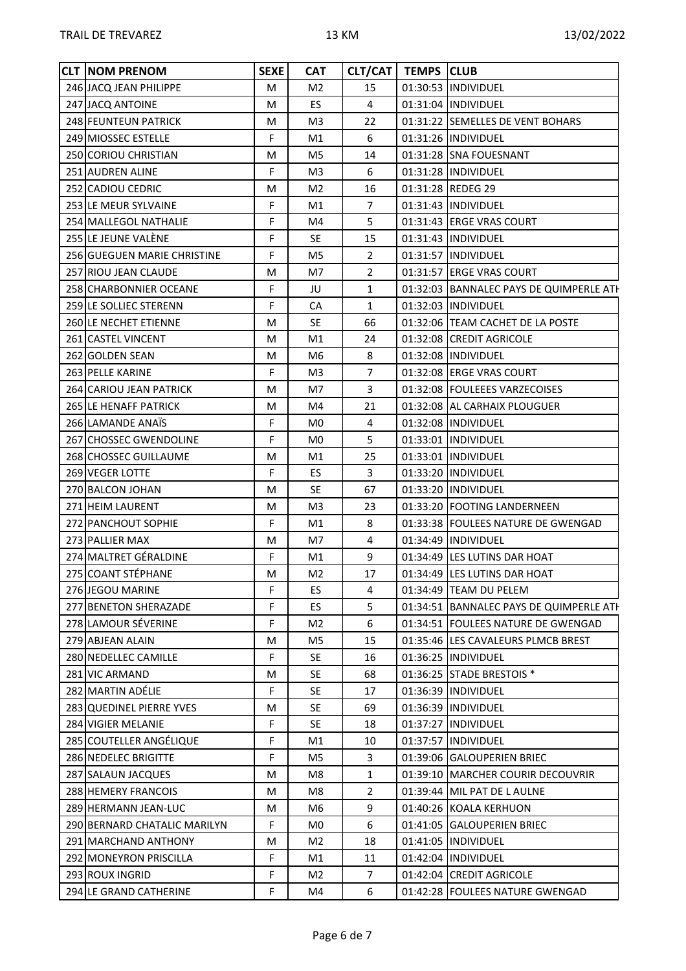| <b>CLT NOM PRENOM</b>        | <b>SEXE</b> | <b>CAT</b>     |                | CLT/CAT   TEMPS   CLUB |                                         |
|------------------------------|-------------|----------------|----------------|------------------------|-----------------------------------------|
| 246 JACQ JEAN PHILIPPE       | М           | M <sub>2</sub> | 15             |                        | 01:30:53  INDIVIDUEL                    |
| 247 JACQ ANTOINE             | M           | ES             | 4              |                        | 01:31:04  INDIVIDUEL                    |
| 248 FEUNTEUN PATRICK         | M           | M <sub>3</sub> | 22             |                        | 01:31:22 SEMELLES DE VENT BOHARS        |
| 249 MIOSSEC ESTELLE          | F           | M1             | 6              |                        | 01:31:26 INDIVIDUEL                     |
| 250 CORIOU CHRISTIAN         | M           | M <sub>5</sub> | 14             |                        | 01:31:28 SNA FOUESNANT                  |
| 251 AUDREN ALINE             | F           | M3             | 6              |                        | 01:31:28 INDIVIDUEL                     |
| 252 CADIOU CEDRIC            | M           | M <sub>2</sub> | 16             |                        | 01:31:28 REDEG 29                       |
| 253 LE MEUR SYLVAINE         | F           | M1             | $\overline{7}$ |                        | 01:31:43 IINDIVIDUEL                    |
| 254 MALLEGOL NATHALIE        | F           | M4             | 5              |                        | 01:31:43 ERGE VRAS COURT                |
| 255 LE JEUNE VALÈNE          | F           | <b>SE</b>      | 15             |                        | 01:31:43  INDIVIDUEL                    |
| 256 GUEGUEN MARIE CHRISTINE  | F           | M5             | 2              |                        | 01:31:57  INDIVIDUEL                    |
| 257 RIOU JEAN CLAUDE         | M           | M7             | 2              |                        | 01:31:57 ERGE VRAS COURT                |
| 258 CHARBONNIER OCEANE       | F           | JU             | 1              |                        | 01:32:03 BANNALEC PAYS DE QUIMPERLE ATI |
| 259 LE SOLLIEC STERENN       | F           | CA             | 1              |                        | 01:32:03 INDIVIDUEL                     |
| 260 LE NECHET ETIENNE        | м           | <b>SE</b>      | 66             |                        | 01:32:06 TEAM CACHET DE LA POSTE        |
| 261 CASTEL VINCENT           | М           | M1             | 24             |                        | 01:32:08 CREDIT AGRICOLE                |
| 262 GOLDEN SEAN              | м           | M6             | 8              |                        | 01:32:08  INDIVIDUEL                    |
| 263 PELLE KARINE             | F           | M3             | 7              |                        | 01:32:08 ERGE VRAS COURT                |
| 264 CARIOU JEAN PATRICK      | M           | M7             | 3              |                        | 01:32:08 FOULEEES VARZECOISES           |
| <b>265 LE HENAFF PATRICK</b> | M           | M4             | 21             |                        | 01:32:08 AL CARHAIX PLOUGUER            |
| 266 LAMANDE ANAÏS            | F           | M <sub>0</sub> | 4              |                        | 01:32:08 IINDIVIDUEL                    |
| 267 CHOSSEC GWENDOLINE       | F           | M <sub>0</sub> | 5              |                        | 01:33:01 INDIVIDUEL                     |
| 268 CHOSSEC GUILLAUME        | M           | M1             | 25             |                        | 01:33:01 INDIVIDUEL                     |
| 269 VEGER LOTTE              | F           | ES             | 3              |                        | 01:33:20  INDIVIDUEL                    |
| 270 BALCON JOHAN             | М           | <b>SE</b>      | 67             |                        | 01:33:20  INDIVIDUEL                    |
| 271 HEIM LAURENT             | M           | M <sub>3</sub> | 23             |                        | 01:33:20 FOOTING LANDERNEEN             |
| 272 PANCHOUT SOPHIE          | F           | M1             | 8              |                        | 01:33:38 FOULEES NATURE DE GWENGAD      |
| 273 PALLIER MAX              | М           | M7             | 4              |                        | 01:34:49 INDIVIDUEL                     |
| 274 MALTRET GÉRALDINE        | F           | M1             | 9              |                        | 01:34:49 LES LUTINS DAR HOAT            |
| 275 COANT STÉPHANE           | M           | M <sub>2</sub> | 17             |                        | 01:34:49 LES LUTINS DAR HOAT            |
| 276 JEGOU MARINE             | F           | ES             | 4              |                        | 01:34:49 TEAM DU PELEM                  |
| 277 BENETON SHERAZADE        | F           | ES.            | 5              |                        | 01:34:51 BANNALEC PAYS DE QUIMPERLE ATH |
| 278 LAMOUR SÉVERINE          | F           | M <sub>2</sub> | 6              |                        | 01:34:51 FOULEES NATURE DE GWENGAD      |
| 279 ABJEAN ALAIN             | M           | M <sub>5</sub> | 15             |                        | 01:35:46 LES CAVALEURS PLMCB BREST      |
| 280 NEDELLEC CAMILLE         | F           | <b>SE</b>      | 16             |                        | 01:36:25  INDIVIDUEL                    |
| 281 VIC ARMAND               | M           | <b>SE</b>      | 68             |                        | 01:36:25 STADE BRESTOIS *               |
| 282 MARTIN ADÉLIE            | F           | <b>SE</b>      | 17             |                        | 01:36:39  INDIVIDUEL                    |
| 283 QUEDINEL PIERRE YVES     | M           | <b>SE</b>      | 69             |                        | 01:36:39 INDIVIDUEL                     |
| 284 VIGIER MELANIE           | F           | <b>SE</b>      | 18             |                        | 01:37:27  INDIVIDUEL                    |
| 285 COUTELLER ANGÉLIQUE      | F           | M1             | 10             |                        | 01:37:57 INDIVIDUEL                     |
| 286 NEDELEC BRIGITTE         | F           | M5             | 3              |                        | 01:39:06 GALOUPERIEN BRIEC              |
| 287 SALAUN JACQUES           | M           | M8             | 1              |                        | 01:39:10 MARCHER COURIR DECOUVRIR       |
| 288 HEMERY FRANCOIS          | M           | M8             | $\overline{2}$ |                        | 01:39:44 MIL PAT DE LAULNE              |
| 289 HERMANN JEAN-LUC         | М           | M6             | 9              |                        | 01:40:26 KOALA KERHUON                  |
| 290 BERNARD CHATALIC MARILYN | F           | M <sub>0</sub> | 6              |                        | 01:41:05 GALOUPERIEN BRIEC              |
| 291 MARCHAND ANTHONY         | M           | M <sub>2</sub> | 18             |                        | 01:41:05 INDIVIDUEL                     |
| 292 MONEYRON PRISCILLA       | F           | M1             | 11             |                        | 01:42:04  INDIVIDUEL                    |
| 293 ROUX INGRID              | F           | M <sub>2</sub> | $\overline{7}$ |                        | 01:42:04 CREDIT AGRICOLE                |
| 294 LE GRAND CATHERINE       | F           | M4             | 6              |                        | 01:42:28 FOULEES NATURE GWENGAD         |